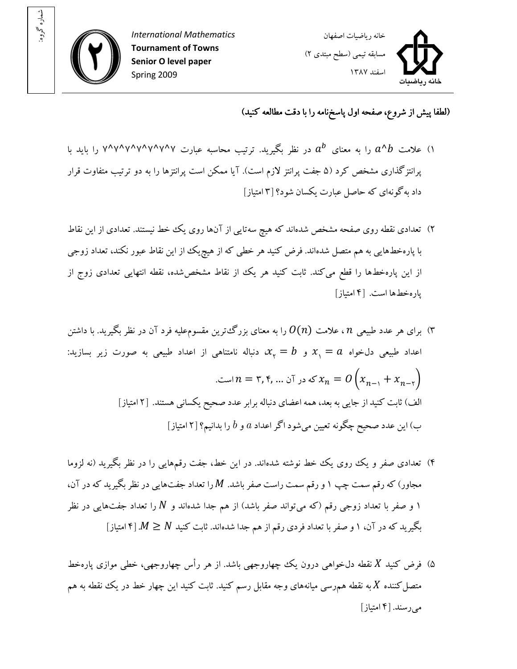

: شماره گروه



(لطفا پيش از شروع، صفحه اول پاسخ نامه را با دقت مطالعه کنيد)

- ۱) علامت  $a^{\prime}$  را به معنای  $a^b$  در نظر بگیرید. ترتیب محاسبه عبارت ۷^۷^۷^۷^۷^۷ را باید با پرانتزگذاري مشخص کرد ۵( جفت پرانتز لازم است). آيا ممکن است پرانتزها را به دو ترتيب متفاوت قرار داد به گونهاي که حاصل عبارت يکسان شود؟ ۳[ امتياز]
- ۲) تعدادي نقطه روي صفحه مشخص شدهاند که هيچ سه تايي از آنها روي يک خط نيستند. تعدادي از اين نقاط با پاره خط هايي به هم متصل شدهاند. فرض کنيد هر خطي که از هيچيک از اين نقاط عبور نکند، تعداد زوجي از اين پارهخطها را قطع ميکند. ثابت کنيد هر يک از نقاط مشخص شده، نقطه انتهايي تعدادي زوج از پاره خط ها است. [۴ امتياز]
- برای هر عدد طبيعي  $n$  ، علامت  $O(n)$  را به معنای بزرگ ترين مقسوم عليه فرد آن در نظر بگيريد. با داشتن  $\kappa$ اعداد طبیعی دلخواه  $x\ \gamma = a$  و  $x_\gamma = b$  دنباله نامتناهی از اعداد طبیعی به صورت زیر بسازید: که در آن ... , ۴, ۳, ۴ است.  $x_n = 0$  است.  $x_{n - \gamma} + x_{n - \gamma}$ الف) ثابت کنيد از جايي به بعد، همه اعضاي دنباله برابر عدد صحيح يکساني هستند. [۲ امتياز] ب) اين عدد صحيح چگونه تعيين مي شود اگر اعداد  $a$  و  $b$  را بدانيم؟ [۲ امتياز]
- ۴) تعدادی صفر و يک روي يک خط نوشته شدهاند. در اين خط، جفت رقمهايي را در نظر بگيريد (نه لزوما مجاور) که رقم سمت چپ ۱ و رقم سمت راست صفر باشد.  $M$  را تعداد جفتهایی در نظر بگیرید که در آن، ۱ و صفر با تعداد زوجی رقم (که میتواند صفر باشد) از هم جدا شدهاند و  $N$  را تعداد جفتهایی در نظر بگيريد که در آن، ۱ و صفر با تعداد فردي رقم از هم جدا شدهاند. ثابت کنيد M  $\geq N$  [۴ امتياز]
- ۵) فرض کنيد X نقطه دلخواهي درون يک چهاروجهي باشد. از هر رأس چهاروجهي، خطي موازي پارهخط متصل کننده X به نقطه همرسي ميانههاي وجه مقابل رسم کنيد. ثابت کنيد اين چهار خط در يک نقطه به هم می رسند. [۴ امتياز]